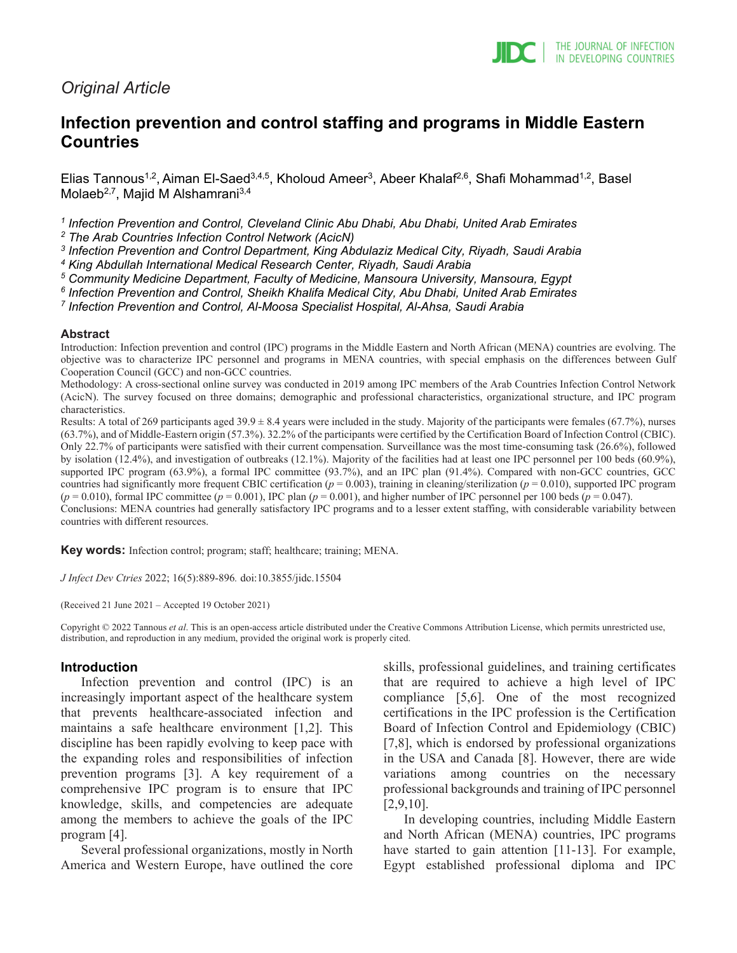# *Original Article*

# **Infection prevention and control staffing and programs in Middle Eastern Countries**

Elias Tannous<sup>1,2</sup>, Aiman El-Saed<sup>3,4,5</sup>, Kholoud Ameer<sup>3</sup>, Abeer Khalaf<sup>2,6</sup>, Shafi Mohammad<sup>1,2</sup>, Basel Molaeb<sup>2,7</sup>, Majid M Alshamrani<sup>3,4</sup>

*<sup>1</sup> Infection Prevention and Control, Cleveland Clinic Abu Dhabi, Abu Dhabi, United Arab Emirates*

*<sup>2</sup> The Arab Countries Infection Control Network (AcicN)*

*<sup>3</sup> Infection Prevention and Control Department, King Abdulaziz Medical City, Riyadh, Saudi Arabia*

*<sup>4</sup> King Abdullah International Medical Research Center, Riyadh, Saudi Arabia*

*<sup>5</sup> Community Medicine Department, Faculty of Medicine, Mansoura University, Mansoura, Egypt*

*<sup>6</sup> Infection Prevention and Control, Sheikh Khalifa Medical City, Abu Dhabi, United Arab Emirates*

*<sup>7</sup> Infection Prevention and Control, Al-Moosa Specialist Hospital, Al-Ahsa, Saudi Arabia*

#### **Abstract**

Introduction: Infection prevention and control (IPC) programs in the Middle Eastern and North African (MENA) countries are evolving. The objective was to characterize IPC personnel and programs in MENA countries, with special emphasis on the differences between Gulf Cooperation Council (GCC) and non-GCC countries.

Methodology: A cross-sectional online survey was conducted in 2019 among IPC members of the Arab Countries Infection Control Network (AcicN). The survey focused on three domains; demographic and professional characteristics, organizational structure, and IPC program characteristics.

Results: A total of 269 participants aged  $39.9 \pm 8.4$  years were included in the study. Majority of the participants were females (67.7%), nurses (63.7%), and of Middle-Eastern origin (57.3%). 32.2% of the participants were certified by the Certification Board of Infection Control (CBIC). Only 22.7% of participants were satisfied with their current compensation. Surveillance was the most time-consuming task (26.6%), followed by isolation (12.4%), and investigation of outbreaks (12.1%). Majority of the facilities had at least one IPC personnel per 100 beds (60.9%), supported IPC program (63.9%), a formal IPC committee (93.7%), and an IPC plan (91.4%). Compared with non-GCC countries, GCC countries had significantly more frequent CBIC certification ( $p = 0.003$ ), training in cleaning/sterilization ( $p = 0.010$ ), supported IPC program  $(p = 0.010)$ , formal IPC committee  $(p = 0.001)$ , IPC plan  $(p = 0.001)$ , and higher number of IPC personnel per 100 beds  $(p = 0.047)$ . Conclusions: MENA countries had generally satisfactory IPC programs and to a lesser extent staffing, with considerable variability between countries with different resources.

**Key words:** Infection control; program; staff; healthcare; training; MENA.

*J Infect Dev Ctries* 2022; 16(5):889-896*.* doi:10.3855/jidc.15504

(Received 21 June 2021 – Accepted 19 October 2021)

Copyright © 2022 Tannous *et al*. This is an open-access article distributed under the Creative Commons Attribution License, which permits unrestricted use, distribution, and reproduction in any medium, provided the original work is properly cited.

#### **Introduction**

Infection prevention and control (IPC) is an increasingly important aspect of the healthcare system that prevents healthcare-associated infection and maintains a safe healthcare environment [1,2]. This discipline has been rapidly evolving to keep pace with the expanding roles and responsibilities of infection prevention programs [3]. A key requirement of a comprehensive IPC program is to ensure that IPC knowledge, skills, and competencies are adequate among the members to achieve the goals of the IPC program [4].

Several professional organizations, mostly in North America and Western Europe, have outlined the core skills, professional guidelines, and training certificates that are required to achieve a high level of IPC compliance [5,6]. One of the most recognized certifications in the IPC profession is the Certification Board of Infection Control and Epidemiology (CBIC) [7,8], which is endorsed by professional organizations in the USA and Canada [8]. However, there are wide variations among countries on the necessary professional backgrounds and training of IPC personnel [2,9,10].

In developing countries, including Middle Eastern and North African (MENA) countries, IPC programs have started to gain attention [11-13]. For example, Egypt established professional diploma and IPC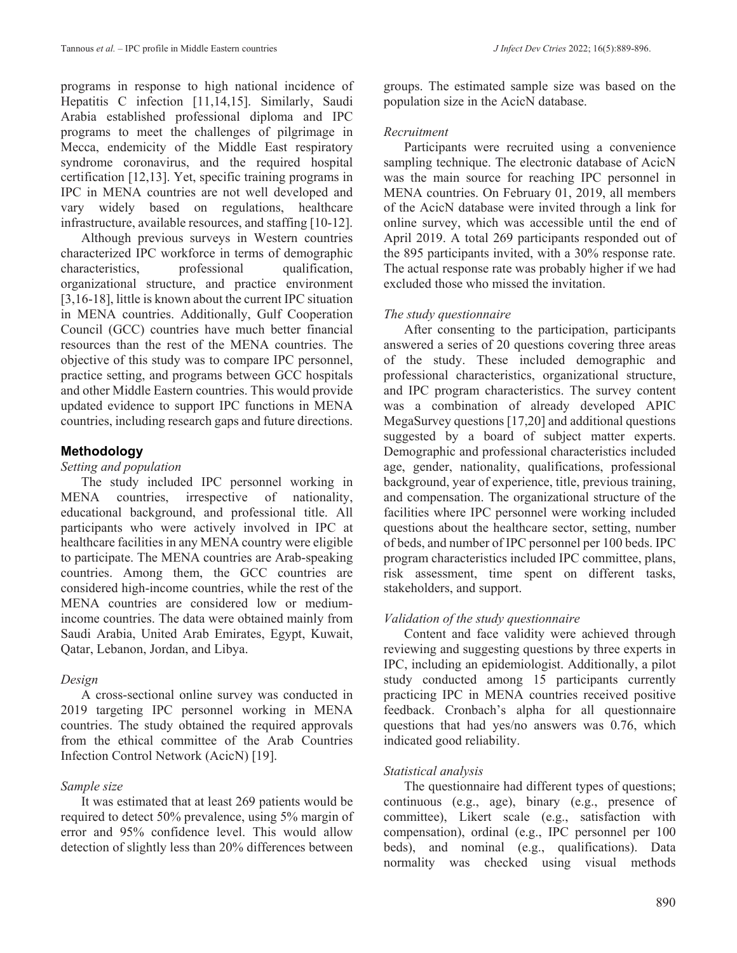programs in response to high national incidence of Hepatitis C infection [11,14,15]. Similarly, Saudi Arabia established professional diploma and IPC programs to meet the challenges of pilgrimage in Mecca, endemicity of the Middle East respiratory syndrome coronavirus, and the required hospital certification [12,13]. Yet, specific training programs in IPC in MENA countries are not well developed and vary widely based on regulations, healthcare infrastructure, available resources, and staffing [10-12].

Although previous surveys in Western countries characterized IPC workforce in terms of demographic characteristics, professional qualification, organizational structure, and practice environment [3,16-18], little is known about the current IPC situation in MENA countries. Additionally, Gulf Cooperation Council (GCC) countries have much better financial resources than the rest of the MENA countries. The objective of this study was to compare IPC personnel, practice setting, and programs between GCC hospitals and other Middle Eastern countries. This would provide updated evidence to support IPC functions in MENA countries, including research gaps and future directions.

## **Methodology**

#### *Setting and population*

The study included IPC personnel working in<br>NA countries, irrespective of nationality, MENA countries, irrespective of nationality, educational background, and professional title. All participants who were actively involved in IPC at healthcare facilities in any MENA country were eligible to participate. The MENA countries are Arab-speaking countries. Among them, the GCC countries are considered high-income countries, while the rest of the MENA countries are considered low or mediumincome countries. The data were obtained mainly from Saudi Arabia, United Arab Emirates, Egypt, Kuwait, Qatar, Lebanon, Jordan, and Libya.

## *Design*

A cross-sectional online survey was conducted in 2019 targeting IPC personnel working in MENA countries. The study obtained the required approvals from the ethical committee of the Arab Countries Infection Control Network (AcicN) [19].

## *Sample size*

It was estimated that at least 269 patients would be required to detect 50% prevalence, using 5% margin of error and 95% confidence level. This would allow detection of slightly less than 20% differences between

groups. The estimated sample size was based on the population size in the AcicN database.

#### *Recruitment*

Participants were recruited using a convenience sampling technique. The electronic database of AcicN was the main source for reaching IPC personnel in MENA countries. On February 01, 2019, all members of the AcicN database were invited through a link for online survey, which was accessible until the end of April 2019. A total 269 participants responded out of the 895 participants invited, with a 30% response rate. The actual response rate was probably higher if we had excluded those who missed the invitation.

## *The study questionnaire*

After consenting to the participation, participants answered a series of 20 questions covering three areas of the study. These included demographic and professional characteristics, organizational structure, and IPC program characteristics. The survey content was a combination of already developed APIC MegaSurvey questions [17,20] and additional questions suggested by a board of subject matter experts. Demographic and professional characteristics included age, gender, nationality, qualifications, professional background, year of experience, title, previous training, and compensation. The organizational structure of the facilities where IPC personnel were working included questions about the healthcare sector, setting, number of beds, and number of IPC personnel per 100 beds. IPC program characteristics included IPC committee, plans, risk assessment, time spent on different tasks, stakeholders, and support.

## *Validation of the study questionnaire*

Content and face validity were achieved through reviewing and suggesting questions by three experts in IPC, including an epidemiologist. Additionally, a pilot study conducted among 15 participants currently practicing IPC in MENA countries received positive feedback. Cronbach's alpha for all questionnaire questions that had yes/no answers was 0.76, which indicated good reliability.

## *Statistical analysis*

The questionnaire had different types of questions; continuous (e.g., age), binary (e.g., presence of committee), Likert scale (e.g., satisfaction with compensation), ordinal (e.g., IPC personnel per 100 beds), and nominal (e.g., qualifications). Data normality was checked using visual methods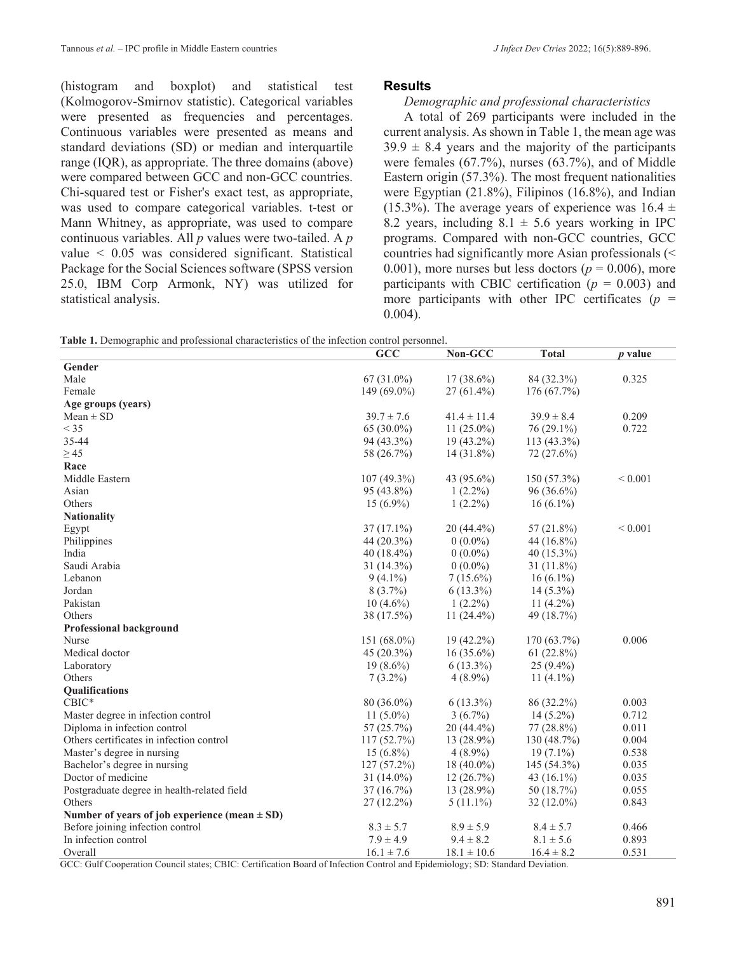(histogram and boxplot) and statistical test (Kolmogorov-Smirnov statistic). Categorical variables were presented as frequencies and percentages. Continuous variables were presented as means and standard deviations (SD) or median and interquartile range (IQR), as appropriate. The three domains (above) were compared between GCC and non-GCC countries. Chi-squared test or Fisher's exact test, as appropriate, was used to compare categorical variables. t-test or Mann Whitney, as appropriate, was used to compare continuous variables. All *p* values were two-tailed. A *p* value < 0.05 was considered significant. Statistical Package for the Social Sciences software (SPSS version 25.0, IBM Corp Armonk, NY) was utilized for statistical analysis.

#### **Results**

#### *Demographic and professional characteristics*

A total of 269 participants were included in the current analysis. As shown in Table 1, the mean age was  $39.9 \pm 8.4$  years and the majority of the participants were females (67.7%), nurses (63.7%), and of Middle Eastern origin (57.3%). The most frequent nationalities were Egyptian (21.8%), Filipinos (16.8%), and Indian (15.3%). The average years of experience was  $16.4 \pm$ 8.2 years, including  $8.1 \pm 5.6$  years working in IPC programs. Compared with non-GCC countries, GCC countries had significantly more Asian professionals (< 0.001), more nurses but less doctors ( $p = 0.006$ ), more participants with CBIC certification  $(p = 0.003)$  and more participants with other IPC certificates  $(p =$ 0.004).

|  | Table 1. Demographic and professional characteristics of the infection control personnel. |  |
|--|-------------------------------------------------------------------------------------------|--|
|--|-------------------------------------------------------------------------------------------|--|

|                                                   | GCC            | Non-GCC         | <b>Total</b>   | $p$ value   |
|---------------------------------------------------|----------------|-----------------|----------------|-------------|
| Gender                                            |                |                 |                |             |
| Male                                              | $67(31.0\%)$   | $17(38.6\%)$    | 84 (32.3%)     | 0.325       |
| Female                                            | 149 (69.0%)    | $27(61.4\%)$    | 176 (67.7%)    |             |
| Age groups (years)                                |                |                 |                |             |
| $Mean \pm SD$                                     | $39.7 \pm 7.6$ | $41.4 \pm 11.4$ | $39.9 \pm 8.4$ | 0.209       |
| $<$ 35                                            | $65(30.0\%)$   | $11(25.0\%)$    | 76 (29.1%)     | 0.722       |
| 35-44                                             | 94 (43.3%)     | 19 (43.2%)      | 113 (43.3%)    |             |
| $\geq$ 45                                         | 58 (26.7%)     | $14(31.8\%)$    | 72 (27.6%)     |             |
| Race                                              |                |                 |                |             |
| Middle Eastern                                    | 107 (49.3%)    | 43 (95.6%)      | 150 (57.3%)    | ${}< 0.001$ |
| Asian                                             | 95 (43.8%)     | $1(2.2\%)$      | 96 (36.6%)     |             |
| Others                                            | $15(6.9\%)$    | $1(2.2\%)$      | $16(6.1\%)$    |             |
| <b>Nationality</b>                                |                |                 |                |             |
| Egypt                                             | $37(17.1\%)$   | 20 (44.4%)      | 57 (21.8%)     | ${}< 0.001$ |
| Philippines                                       | 44 $(20.3\%)$  | $0(0.0\%)$      | 44 (16.8%)     |             |
| India                                             | 40 $(18.4\%)$  | $0(0.0\%)$      | 40 (15.3%)     |             |
| Saudi Arabia                                      | $31(14.3\%)$   | $0(0.0\%)$      | $31(11.8\%)$   |             |
| Lebanon                                           | $9(4.1\%)$     | $7(15.6\%)$     | $16(6.1\%)$    |             |
| Jordan                                            | $8(3.7\%)$     | $6(13.3\%)$     | $14(5.3\%)$    |             |
| Pakistan                                          | $10(4.6\%)$    | $1(2.2\%)$      | $11(4.2\%)$    |             |
| Others                                            | 38 (17.5%)     | $11(24.4\%)$    | 49 (18.7%)     |             |
| <b>Professional background</b>                    |                |                 |                |             |
| Nurse                                             | 151 (68.0%)    | 19 (42.2%)      | 170 (63.7%)    | 0.006       |
| Medical doctor                                    | 45 (20.3%)     | $16(35.6\%)$    | 61(22.8%)      |             |
| Laboratory                                        | $19(8.6\%)$    | $6(13.3\%)$     | $25(9.4\%)$    |             |
| Others                                            | $7(3.2\%)$     | $4(8.9\%)$      | 11 $(4.1\%)$   |             |
| Qualifications                                    |                |                 |                |             |
| $CBIC*$                                           | 80 (36.0%)     | $6(13.3\%)$     | 86 (32.2%)     | 0.003       |
| Master degree in infection control                | 11 $(5.0\%)$   | $3(6.7\%)$      | $14(5.2\%)$    | 0.712       |
| Diploma in infection control                      | 57 (25.7%)     | 20 (44.4%)      | 77 (28.8%)     | 0.011       |
| Others certificates in infection control          | 117(52.7%)     | $13(28.9\%)$    | 130(48.7%)     | 0.004       |
| Master's degree in nursing                        | $15(6.8\%)$    | $4(8.9\%)$      | $19(7.1\%)$    | 0.538       |
| Bachelor's degree in nursing                      | $127(57.2\%)$  | $18(40.0\%)$    | 145 (54.3%)    | 0.035       |
| Doctor of medicine                                | $31(14.0\%)$   | 12(26.7%)       | 43 $(16.1\%)$  | 0.035       |
| Postgraduate degree in health-related field       | 37(16.7%)      | 13 (28.9%)      | 50 (18.7%)     | 0.055       |
| Others                                            | $27(12.2\%)$   | $5(11.1\%)$     | $32(12.0\%)$   | 0.843       |
| Number of years of job experience (mean $\pm$ SD) |                |                 |                |             |
| Before joining infection control                  | $8.3 \pm 5.7$  | $8.9 \pm 5.9$   | $8.4 \pm 5.7$  | 0.466       |
| In infection control                              | $7.9 \pm 4.9$  | $9.4 \pm 8.2$   | $8.1 \pm 5.6$  | 0.893       |
| Overall                                           | $16.1 \pm 7.6$ | $18.1 \pm 10.6$ | $16.4 \pm 8.2$ | 0.531       |

GCC: Gulf Cooperation Council states; CBIC: Certification Board of Infection Control and Epidemiology; SD: Standard Deviation.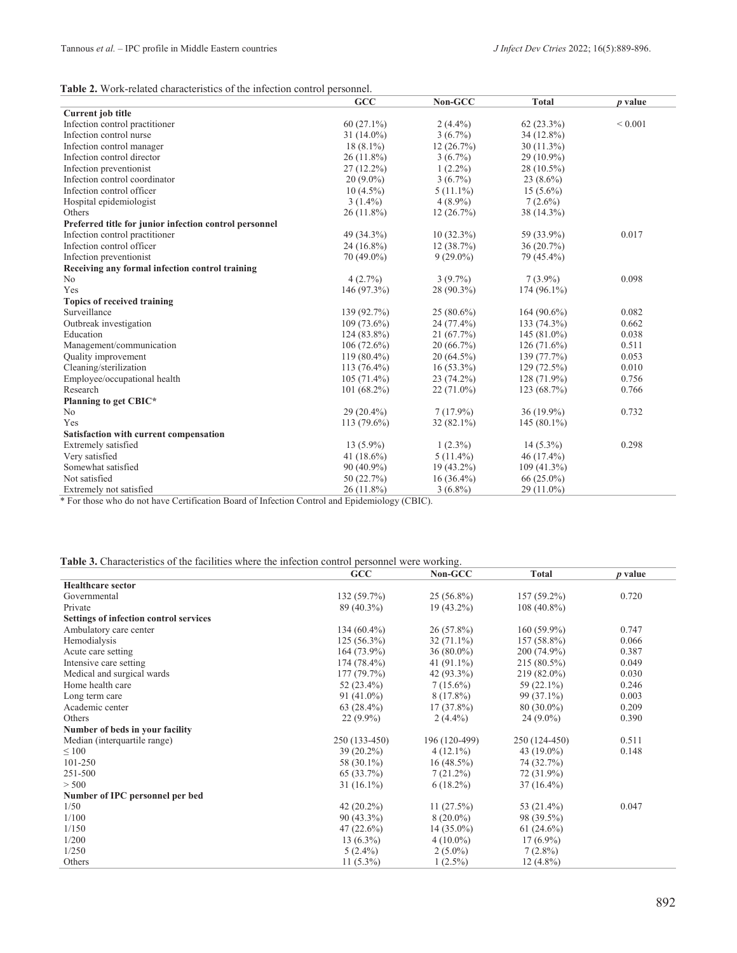| <b>Table 2.</b> Work-related characteristics of the infection control personnel. |
|----------------------------------------------------------------------------------|
|----------------------------------------------------------------------------------|

|                                                                                                                                                                                                                               | <b>GCC</b>    | Non-GCC      | <b>Total</b>  | $p$ value    |
|-------------------------------------------------------------------------------------------------------------------------------------------------------------------------------------------------------------------------------|---------------|--------------|---------------|--------------|
| Current job title                                                                                                                                                                                                             |               |              |               |              |
| Infection control practitioner                                                                                                                                                                                                | $60(27.1\%)$  | $2(4.4\%)$   | $62(23.3\%)$  | ${}_{0.001}$ |
| Infection control nurse                                                                                                                                                                                                       | $31(14.0\%)$  | $3(6.7\%)$   | 34 (12.8%)    |              |
| Infection control manager                                                                                                                                                                                                     | $18(8.1\%)$   | 12(26.7%)    | $30(11.3\%)$  |              |
| Infection control director                                                                                                                                                                                                    | $26(11.8\%)$  | $3(6.7\%)$   | 29 (10.9%)    |              |
| Infection preventionist                                                                                                                                                                                                       | $27(12.2\%)$  | $1(2.2\%)$   | 28 (10.5%)    |              |
| Infection control coordinator                                                                                                                                                                                                 | $20(9.0\%)$   | $3(6.7\%)$   | $23(8.6\%)$   |              |
| Infection control officer                                                                                                                                                                                                     | $10(4.5\%)$   | $5(11.1\%)$  | $15(5.6\%)$   |              |
| Hospital epidemiologist                                                                                                                                                                                                       | $3(1.4\%)$    | $4(8.9\%)$   | $7(2.6\%)$    |              |
| Others                                                                                                                                                                                                                        | $26(11.8\%)$  | 12(26.7%)    | 38 (14.3%)    |              |
| Preferred title for junior infection control personnel                                                                                                                                                                        |               |              |               |              |
| Infection control practitioner                                                                                                                                                                                                | 49 (34.3%)    | $10(32.3\%)$ | 59 (33.9%)    | 0.017        |
| Infection control officer                                                                                                                                                                                                     | $24(16.8\%)$  | 12(38.7%)    | 36(20.7%)     |              |
| Infection preventionist                                                                                                                                                                                                       | $70(49.0\%)$  | $9(29.0\%)$  | 79 (45.4%)    |              |
| Receiving any formal infection control training                                                                                                                                                                               |               |              |               |              |
| No                                                                                                                                                                                                                            | 4(2.7%)       | $3(9.7\%)$   | $7(3.9\%)$    | 0.098        |
| Yes                                                                                                                                                                                                                           | 146 (97.3%)   | 28 (90.3%)   | 174 (96.1%)   |              |
| <b>Topics of received training</b>                                                                                                                                                                                            |               |              |               |              |
| Surveillance                                                                                                                                                                                                                  | 139 (92.7%)   | $25(80.6\%)$ | $164(90.6\%)$ | 0.082        |
| Outbreak investigation                                                                                                                                                                                                        | $109(73.6\%)$ | 24 (77.4%)   | 133 (74.3%)   | 0.662        |
| Education                                                                                                                                                                                                                     | $124(83.8\%)$ | 21(67.7%)    | $145(81.0\%)$ | 0.038        |
| Management/communication                                                                                                                                                                                                      | $106(72.6\%)$ | 20(66.7%)    | $126(71.6\%)$ | 0.511        |
| Quality improvement                                                                                                                                                                                                           | $119(80.4\%)$ | $20(64.5\%)$ | 139 (77.7%)   | 0.053        |
| Cleaning/sterilization                                                                                                                                                                                                        | $113(76.4\%)$ | $16(53.3\%)$ | 129(72.5%)    | 0.010        |
| Employee/occupational health                                                                                                                                                                                                  | $105(71.4\%)$ | $23(74.2\%)$ | $128(71.9\%)$ | 0.756        |
| Research                                                                                                                                                                                                                      | $101(68.2\%)$ | $22(71.0\%)$ | 123(68.7%)    | 0.766        |
| Planning to get CBIC*                                                                                                                                                                                                         |               |              |               |              |
| No                                                                                                                                                                                                                            | $29(20.4\%)$  | $7(17.9\%)$  | $36(19.9\%)$  | 0.732        |
| Yes                                                                                                                                                                                                                           | $113(79.6\%)$ | 32 (82.1%)   | $145(80.1\%)$ |              |
| Satisfaction with current compensation                                                                                                                                                                                        |               |              |               |              |
| Extremely satisfied                                                                                                                                                                                                           | $13(5.9\%)$   | $1(2.3\%)$   | $14(5.3\%)$   | 0.298        |
| Very satisfied                                                                                                                                                                                                                | 41 $(18.6\%)$ | $5(11.4\%)$  | 46 (17.4%)    |              |
| Somewhat satisfied                                                                                                                                                                                                            | $90(40.9\%)$  | 19 (43.2%)   | $109(41.3\%)$ |              |
| Not satisfied                                                                                                                                                                                                                 | 50 $(22.7%)$  | $16(36.4\%)$ | 66 (25.0%)    |              |
| Extremely not satisfied<br>$k_{\rm E}$ , the contrast of the contrast $\alpha$ , $\alpha$ , $\alpha$ , $\alpha$ , $\alpha$ , $\alpha$ , $\alpha$ , $\alpha$ , $\alpha$ , $\alpha$ , $\alpha$ , $\alpha$ , $\alpha$ , $\alpha$ | 26 (11.8%)    | $3(6.8\%)$   | 29 (11.0%)    |              |

\* For those who do not have Certification Board of Infection Control and Epidemiology (CBIC).

| Table 3. Characteristics of the facilities where the infection control personnel were working. |  |
|------------------------------------------------------------------------------------------------|--|
|------------------------------------------------------------------------------------------------|--|

|                                               | GCC           | Non-GCC       | Total         | p value |
|-----------------------------------------------|---------------|---------------|---------------|---------|
| <b>Healthcare sector</b>                      |               |               |               |         |
| Governmental                                  | 132 (59.7%)   | $25(56.8\%)$  | $157(59.2\%)$ | 0.720   |
| Private                                       | 89 (40.3%)    | $19(43.2\%)$  | $108(40.8\%)$ |         |
| <b>Settings of infection control services</b> |               |               |               |         |
| Ambulatory care center                        | $134(60.4\%)$ | $26(57.8\%)$  | $160(59.9\%)$ | 0.747   |
| Hemodialysis                                  | 125 (56.3%)   | $32(71.1\%)$  | 157 (58.8%)   | 0.066   |
| Acute care setting                            | $164(73.9\%)$ | 36 (80.0%)    | 200 (74.9%)   | 0.387   |
| Intensive care setting                        | 174 (78.4%)   | 41 $(91.1\%)$ | 215 (80.5%)   | 0.049   |
| Medical and surgical wards                    | 177 (79.7%)   | 42 (93.3%)    | 219 (82.0%)   | 0.030   |
| Home health care                              | 52 (23.4%)    | $7(15.6\%)$   | 59 (22.1%)    | 0.246   |
| Long term care                                | $91(41.0\%)$  | 8 (17.8%)     | 99 (37.1%)    | 0.003   |
| Academic center                               | $63(28.4\%)$  | $17(37.8\%)$  | $80(30.0\%)$  | 0.209   |
| Others                                        | $22(9.9\%)$   | $2(4.4\%)$    | $24(9.0\%)$   | 0.390   |
| Number of beds in your facility               |               |               |               |         |
| Median (interquartile range)                  | 250 (133-450) | 196 (120-499) | 250 (124-450) | 0.511   |
| $\leq 100$                                    | 39 (20.2%)    | $4(12.1\%)$   | 43 (19.0%)    | 0.148   |
| 101-250                                       | 58 (30.1%)    | $16(48.5\%)$  | 74 (32.7%)    |         |
| 251-500                                       | 65 (33.7%)    | $7(21.2\%)$   | 72 (31.9%)    |         |
| > 500                                         | $31(16.1\%)$  | $6(18.2\%)$   | $37(16.4\%)$  |         |
| Number of IPC personnel per bed               |               |               |               |         |
| 1/50                                          | 42 $(20.2\%)$ | $11(27.5\%)$  | 53 (21.4%)    | 0.047   |
| 1/100                                         | 90 (43.3%)    | $8(20.0\%)$   | 98 (39.5%)    |         |
| 1/150                                         | $47(22.6\%)$  | $14(35.0\%)$  | $61(24.6\%)$  |         |
| 1/200                                         | $13(6.3\%)$   | $4(10.0\%)$   | $17(6.9\%)$   |         |
| 1/250                                         | $5(2.4\%)$    | $2(5.0\%)$    | $7(2.8\%)$    |         |
| Others                                        | $11(5.3\%)$   | $1(2.5\%)$    | $12(4.8\%)$   |         |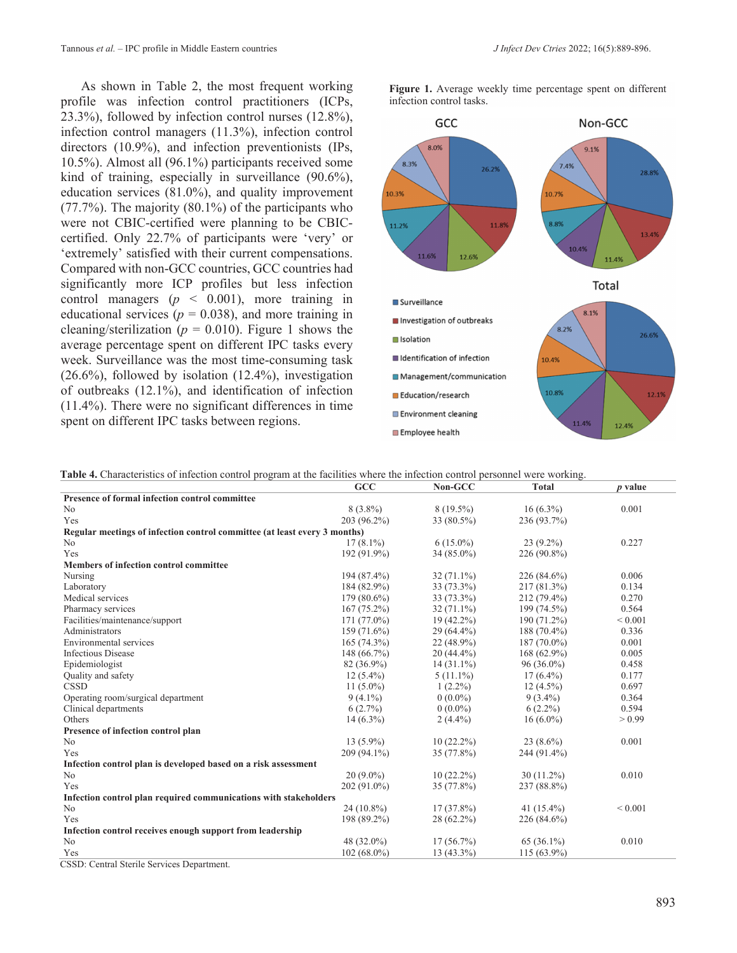As shown in Table 2, the most frequent working profile was infection control practitioners (ICPs, 23.3%), followed by infection control nurses (12.8%), infection control managers (11.3%), infection control directors (10.9%), and infection preventionists (IPs, 10.5%). Almost all (96.1%) participants received some kind of training, especially in surveillance (90.6%), education services (81.0%), and quality improvement (77.7%). The majority (80.1%) of the participants who were not CBIC-certified were planning to be CBICcertified. Only 22.7% of participants were 'very' or 'extremely' satisfied with their current compensations. Compared with non-GCC countries, GCC countries had significantly more ICP profiles but less infection control managers  $(p \le 0.001)$ , more training in educational services ( $p = 0.038$ ), and more training in cleaning/sterilization ( $p = 0.010$ ). Figure 1 shows the average percentage spent on different IPC tasks every week. Surveillance was the most time-consuming task (26.6%), followed by isolation (12.4%), investigation of outbreaks (12.1%), and identification of infection (11.4%). There were no significant differences in time spent on different IPC tasks between regions.

**Figure 1.** Average weekly time percentage spent on different infection control tasks.



**Table 4.** Characteristics of infection control program at the facilities where the infection control personnel were working.

|                                                                           | GCC           | Non-GCC      | <b>Total</b>  | p value     |
|---------------------------------------------------------------------------|---------------|--------------|---------------|-------------|
| Presence of formal infection control committee                            |               |              |               |             |
| No                                                                        | $8(3.8\%)$    | 8 (19.5%)    | $16(6.3\%)$   | 0.001       |
| Yes                                                                       | 203 (96.2%)   | 33 (80.5%)   | 236 (93.7%)   |             |
| Regular meetings of infection control committee (at least every 3 months) |               |              |               |             |
| N <sub>o</sub>                                                            | $17(8.1\%)$   | $6(15.0\%)$  | $23(9.2\%)$   | 0.227       |
| Yes                                                                       | 192 (91.9%)   | $34(85.0\%)$ | 226 (90.8%)   |             |
| Members of infection control committee                                    |               |              |               |             |
| Nursing                                                                   | 194 (87.4%)   | $32(71.1\%)$ | 226 (84.6%)   | 0.006       |
| Laboratory                                                                | 184 (82.9%)   | 33 (73.3%)   | 217 (81.3%)   | 0.134       |
| Medical services                                                          | $179(80.6\%)$ | 33 (73.3%)   | 212 (79.4%)   | 0.270       |
| Pharmacy services                                                         | $167(75.2\%)$ | $32(71.1\%)$ | 199 (74.5%)   | 0.564       |
| Facilities/maintenance/support                                            | 171 (77.0%)   | $19(42.2\%)$ | 190 (71.2%)   | ${}< 0.001$ |
| Administrators                                                            | 159 (71.6%)   | $29(64.4\%)$ | $188(70.4\%)$ | 0.336       |
| Environmental services                                                    | $165(74.3\%)$ | $22(48.9\%)$ | $187(70.0\%)$ | 0.001       |
| <b>Infectious Disease</b>                                                 | 148 (66.7%)   | $20(44.4\%)$ | $168(62.9\%)$ | 0.005       |
| Epidemiologist                                                            | 82 (36.9%)    | $14(31.1\%)$ | $96(36.0\%)$  | 0.458       |
| Quality and safety                                                        | $12(5.4\%)$   | $5(11.1\%)$  | $17(6.4\%)$   | 0.177       |
| <b>CSSD</b>                                                               | $11(5.0\%)$   | $1(2.2\%)$   | $12(4.5\%)$   | 0.697       |
| Operating room/surgical department                                        | $9(4.1\%)$    | $0(0.0\%)$   | $9(3.4\%)$    | 0.364       |
| Clinical departments                                                      | 6(2.7%)       | $0(0.0\%)$   | $6(2.2\%)$    | 0.594       |
| Others                                                                    | $14(6.3\%)$   | $2(4.4\%)$   | $16(6.0\%)$   | > 0.99      |
| Presence of infection control plan                                        |               |              |               |             |
| N <sub>o</sub>                                                            | $13(5.9\%)$   | $10(22.2\%)$ | $23(8.6\%)$   | 0.001       |
| Yes                                                                       | 209 (94.1%)   | 35 (77.8%)   | 244 (91.4%)   |             |
| Infection control plan is developed based on a risk assessment            |               |              |               |             |
| No                                                                        | $20(9.0\%)$   | $10(22.2\%)$ | $30(11.2\%)$  | 0.010       |
| Yes                                                                       | 202 (91.0%)   | 35 (77.8%)   | 237 (88.8%)   |             |
| Infection control plan required communications with stakeholders          |               |              |               |             |
| N <sub>o</sub>                                                            | $24(10.8\%)$  | $17(37.8\%)$ | 41 $(15.4\%)$ | ${}< 0.001$ |
| Yes                                                                       | 198 (89.2%)   | 28 (62.2%)   | 226 (84.6%)   |             |
| Infection control receives enough support from leadership                 |               |              |               |             |
| N <sub>o</sub>                                                            | 48 (32.0%)    | 17(56.7%)    | 65 (36.1%)    | 0.010       |
| Yes                                                                       | $102(68.0\%)$ | 13 (43.3%)   | 115 (63.9%)   |             |
| CSSD: Central Sterile Services Department.                                |               |              |               |             |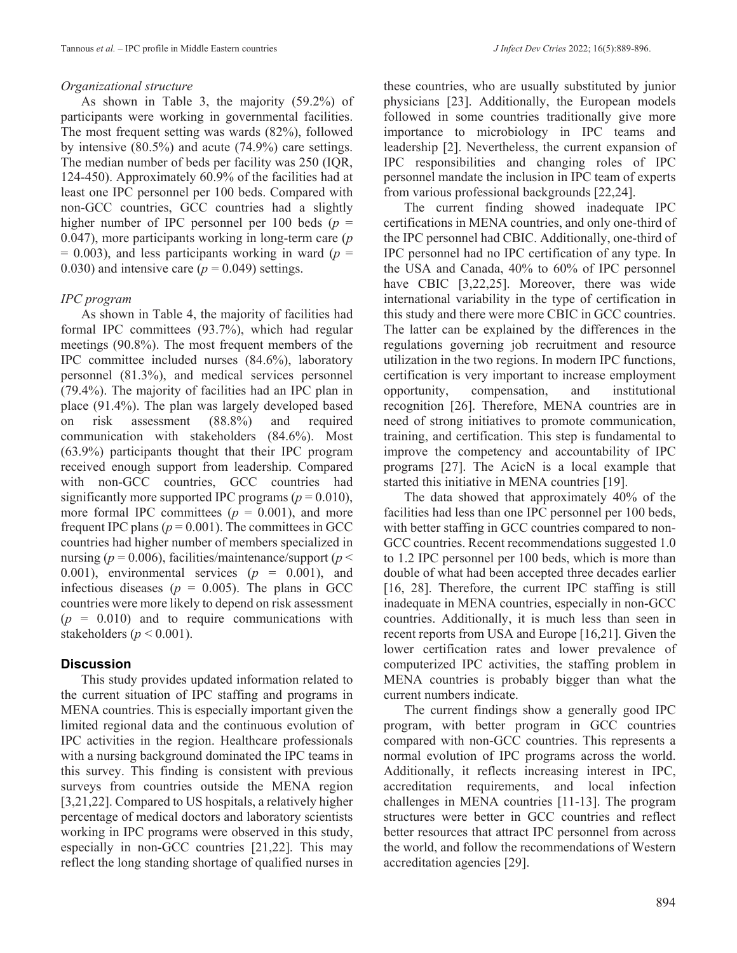#### *Organizational structure*

As shown in Table 3, the majority (59.2%) of participants were working in governmental facilities. The most frequent setting was wards (82%), followed by intensive (80.5%) and acute (74.9%) care settings. The median number of beds per facility was 250 (IQR, 124-450). Approximately 60.9% of the facilities had at least one IPC personnel per 100 beds. Compared with non-GCC countries, GCC countries had a slightly higher number of IPC personnel per 100 beds  $(p =$ 0.047), more participants working in long-term care (*p*  $= 0.003$ ), and less participants working in ward ( $p =$ 0.030) and intensive care  $(p = 0.049)$  settings.

#### *IPC program*

As shown in Table 4, the majority of facilities had formal IPC committees (93.7%), which had regular meetings (90.8%). The most frequent members of the IPC committee included nurses (84.6%), laboratory personnel (81.3%), and medical services personnel (79.4%). The majority of facilities had an IPC plan in place (91.4%). The plan was largely developed based on risk assessment (88.8%) and required communication with stakeholders (84.6%). Most (63.9%) participants thought that their IPC program received enough support from leadership. Compared with non-GCC countries, GCC countries had significantly more supported IPC programs ( $p = 0.010$ ), more formal IPC committees  $(p = 0.001)$ , and more frequent IPC plans ( $p = 0.001$ ). The committees in GCC countries had higher number of members specialized in nursing ( $p = 0.006$ ), facilities/maintenance/support ( $p <$ 0.001), environmental services  $(p = 0.001)$ , and infectious diseases ( $p = 0.005$ ). The plans in GCC countries were more likely to depend on risk assessment  $(p = 0.010)$  and to require communications with stakeholders ( $p < 0.001$ ).

## **Discussion**

This study provides updated information related to the current situation of IPC staffing and programs in MENA countries. This is especially important given the limited regional data and the continuous evolution of IPC activities in the region. Healthcare professionals with a nursing background dominated the IPC teams in this survey. This finding is consistent with previous surveys from countries outside the MENA region [3,21,22]. Compared to US hospitals, a relatively higher percentage of medical doctors and laboratory scientists working in IPC programs were observed in this study, especially in non-GCC countries [21,22]. This may reflect the long standing shortage of qualified nurses in

these countries, who are usually substituted by junior physicians [23]. Additionally, the European models followed in some countries traditionally give more importance to microbiology in IPC teams and leadership [2]. Nevertheless, the current expansion of IPC responsibilities and changing roles of IPC personnel mandate the inclusion in IPC team of experts from various professional backgrounds [22,24].

The current finding showed inadequate IPC certifications in MENA countries, and only one-third of the IPC personnel had CBIC. Additionally, one-third of IPC personnel had no IPC certification of any type. In the USA and Canada, 40% to 60% of IPC personnel have CBIC [3,22,25]. Moreover, there was wide international variability in the type of certification in this study and there were more CBIC in GCC countries. The latter can be explained by the differences in the regulations governing job recruitment and resource utilization in the two regions. In modern IPC functions, certification is very important to increase employment opportunity, compensation, and institutional recognition [26]. Therefore, MENA countries are in need of strong initiatives to promote communication, training, and certification. This step is fundamental to improve the competency and accountability of IPC programs [27]. The AcicN is a local example that started this initiative in MENA countries [19].

The data showed that approximately 40% of the facilities had less than one IPC personnel per 100 beds, with better staffing in GCC countries compared to non-GCC countries. Recent recommendations suggested 1.0 to 1.2 IPC personnel per 100 beds, which is more than double of what had been accepted three decades earlier [16, 28]. Therefore, the current IPC staffing is still inadequate in MENA countries, especially in non-GCC countries. Additionally, it is much less than seen in recent reports from USA and Europe [16,21]. Given the lower certification rates and lower prevalence of computerized IPC activities, the staffing problem in MENA countries is probably bigger than what the current numbers indicate.

The current findings show a generally good IPC program, with better program in GCC countries compared with non-GCC countries. This represents a normal evolution of IPC programs across the world. Additionally, it reflects increasing interest in IPC, accreditation requirements, and local infection challenges in MENA countries [11-13]. The program structures were better in GCC countries and reflect better resources that attract IPC personnel from across the world, and follow the recommendations of Western accreditation agencies [29].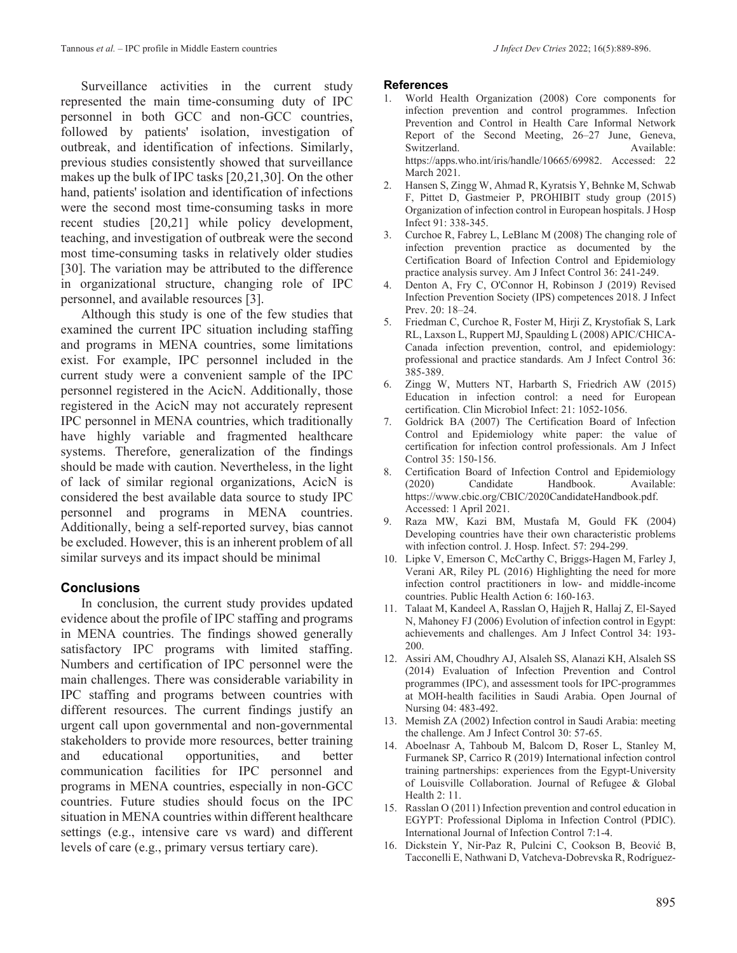Surveillance activities in the current study represented the main time-consuming duty of IPC personnel in both GCC and non-GCC countries, followed by patients' isolation, investigation of outbreak, and identification of infections. Similarly, previous studies consistently showed that surveillance makes up the bulk of IPC tasks [20,21,30]. On the other hand, patients' isolation and identification of infections were the second most time-consuming tasks in more recent studies [20,21] while policy development, teaching, and investigation of outbreak were the second most time-consuming tasks in relatively older studies [30]. The variation may be attributed to the difference in organizational structure, changing role of IPC personnel, and available resources [3].

Although this study is one of the few studies that examined the current IPC situation including staffing and programs in MENA countries, some limitations exist. For example, IPC personnel included in the current study were a convenient sample of the IPC personnel registered in the AcicN. Additionally, those registered in the AcicN may not accurately represent IPC personnel in MENA countries, which traditionally have highly variable and fragmented healthcare systems. Therefore, generalization of the findings should be made with caution. Nevertheless, in the light of lack of similar regional organizations, AcicN is considered the best available data source to study IPC personnel and programs in MENA countries. Additionally, being a self-reported survey, bias cannot be excluded. However, this is an inherent problem of all similar surveys and its impact should be minimal

#### **Conclusions**

In conclusion, the current study provides updated evidence about the profile of IPC staffing and programs in MENA countries. The findings showed generally satisfactory IPC programs with limited staffing. Numbers and certification of IPC personnel were the main challenges. There was considerable variability in IPC staffing and programs between countries with different resources. The current findings justify an urgent call upon governmental and non-governmental stakeholders to provide more resources, better training and educational opportunities, and better communication facilities for IPC personnel and programs in MENA countries, especially in non-GCC countries. Future studies should focus on the IPC situation in MENA countries within different healthcare settings (e.g., intensive care vs ward) and different levels of care (e.g., primary versus tertiary care).

#### **References**

- World Health Organization (2008) Core components for infection prevention and control programmes. Infection Prevention and Control in Health Care Informal Network Report of the Second Meeting, 26–27 June, Geneva, Switzerland. Available: https://apps.who.int/iris/handle/10665/69982. Accessed: 22 March 2021.
- 2. Hansen S, Zingg W, Ahmad R, Kyratsis Y, Behnke M, Schwab F, Pittet D, Gastmeier P, PROHIBIT study group (2015) Organization of infection control in European hospitals. J Hosp Infect 91: 338-345.
- 3. Curchoe R, Fabrey L, LeBlanc M (2008) The changing role of infection prevention practice as documented by the Certification Board of Infection Control and Epidemiology practice analysis survey. Am J Infect Control 36: 241-249.
- 4. Denton A, Fry C, O'Connor H, Robinson J (2019) Revised Infection Prevention Society (IPS) competences 2018. J Infect Prev. 20: 18–24.
- 5. Friedman C, Curchoe R, Foster M, Hirji Z, Krystofiak S, Lark RL, Laxson L, Ruppert MJ, Spaulding L (2008) APIC/CHICA-Canada infection prevention, control, and epidemiology: professional and practice standards. Am J Infect Control 36: 385-389.
- 6. Zingg W, Mutters NT, Harbarth S, Friedrich AW (2015) Education in infection control: a need for European certification. Clin Microbiol Infect: 21: 1052-1056.
- 7. Goldrick BA (2007) The Certification Board of Infection Control and Epidemiology white paper: the value of certification for infection control professionals. Am J Infect Control 35: 150-156.
- 8. Certification Board of Infection Control and Epidemiology<br>
(2020) Candidate Handbook. Available: Handbook. Available: https://www.cbic.org/CBIC/2020CandidateHandbook.pdf. Accessed: 1 April 2021.
- 9. Raza MW, Kazi BM, Mustafa M, Gould FK (2004) Developing countries have their own characteristic problems with infection control. J. Hosp. Infect. 57: 294-299.
- 10. Lipke V, Emerson C, McCarthy C, Briggs-Hagen M, Farley J, Verani AR, Riley PL (2016) Highlighting the need for more infection control practitioners in low- and middle-income countries. Public Health Action 6: 160-163.
- 11. Talaat M, Kandeel A, Rasslan O, Hajjeh R, Hallaj Z, El-Sayed N, Mahoney FJ (2006) Evolution of infection control in Egypt: achievements and challenges. Am J Infect Control 34: 193- 200.
- 12. Assiri AM, Choudhry AJ, Alsaleh SS, Alanazi KH, Alsaleh SS (2014) Evaluation of Infection Prevention and Control programmes (IPC), and assessment tools for IPC-programmes at MOH-health facilities in Saudi Arabia. Open Journal of Nursing 04: 483-492.
- 13. Memish ZA (2002) Infection control in Saudi Arabia: meeting the challenge. Am J Infect Control 30: 57-65.
- 14. Aboelnasr A, Tahboub M, Balcom D, Roser L, Stanley M, Furmanek SP, Carrico R (2019) International infection control training partnerships: experiences from the Egypt-University of Louisville Collaboration. Journal of Refugee & Global Health 2: 11.
- 15. Rasslan O (2011) Infection prevention and control education in EGYPT: Professional Diploma in Infection Control (PDIC). International Journal of Infection Control 7:1-4.
- 16. Dickstein Y, Nir-Paz R, Pulcini C, Cookson B, Beović B, Tacconelli E, Nathwani D, Vatcheva-Dobrevska R, Rodríguez-